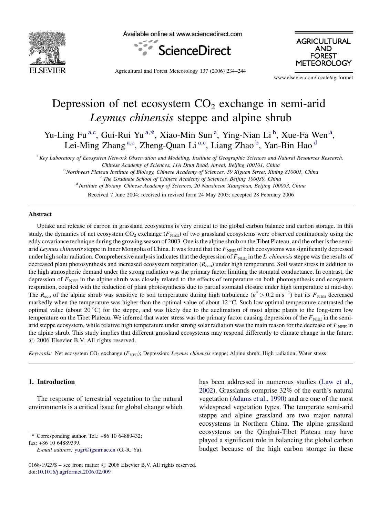

Available online at www.sciencedirect.com





Agricultural and Forest Meteorology 137 (2006) 234–244

www.elsevier.com/locate/agrformet

# Depression of net ecosystem  $CO<sub>2</sub>$  exchange in semi-arid Leymus chinensis steppe and alpine shrub

Yu-Ling Fu<sup>a,c</sup>, Gui-Rui Yu<sup>a,\*</sup>, Xiao-Min Sun<sup>a</sup>, Ying-Nian Li<sup>b</sup>, Xue-Fa Wen<sup>a</sup>, Lei-Ming Zhang<sup>a,c</sup>, Zheng-Quan Li<sup>a,c</sup>, Liang Zhao<sup>b</sup>, Yan-Bin Hao<sup>d</sup>

 $a_{Key}$  Laboratory of Ecosystem Network Observation and Modeling, Institute of Geographic Sciences and Natural Resources Research, Chinese Academy of Sciences, 11A Dtun Road, Anwai, Beijing 100101, China

<sup>b</sup> Northwest Plateau Institute of Biology, Chinese Academy of Sciences, 59 Xiguan Street, Xining 810001, China

<sup>c</sup> The Graduate School of Chinese Academy of Sciences, Beijing 100039, China

<sup>d</sup> Institute of Botany, Chinese Academy of Sciences, 20 Nanxincun Xiangshan, Beijing 100093, China

Received 7 June 2004; received in revised form 24 May 2005; accepted 28 February 2006

#### Abstract

Uptake and release of carbon in grassland ecosystems is very critical to the global carbon balance and carbon storage. In this study, the dynamics of net ecosystem  $CO_2$  exchange ( $F_{NEE}$ ) of two grassland ecosystems were observed continuously using the eddy covariance technique during the growing season of 2003. One is the alpine shrub on the Tibet Plateau, and the other is the semiarid Leymus chinensis steppe in Inner Mongolia of China. It was found that the  $F<sub>NEE</sub>$  of both ecosystems was significantly depressed under high solar radiation. Comprehensive analysis indicates that the depression of  $F_{\text{NEE}}$  in the L. chinensis steppe was the results of decreased plant photosynthesis and increased ecosystem respiration  $(R_{\text{eco}})$  under high temperature. Soil water stress in addition to the high atmospheric demand under the strong radiation was the primary factor limiting the stomatal conductance. In contrast, the depression of  $F<sub>NEE</sub>$  in the alpine shrub was closely related to the effects of temperature on both photosynthesis and ecosystem respiration, coupled with the reduction of plant photosynthesis due to partial stomatal closure under high temperature at mid-day. The  $R_{\text{eco}}$  of the alpine shrub was sensitive to soil temperature during high turbulence ( $u^* > 0.2 \text{ m s}^{-1}$ ) but its  $F_{\text{NEE}}$  decreased markedly when the temperature was higher than the optimal value of about  $12 \degree C$ . Such low optimal temperature contrasted the optimal value (about 20  $^{\circ}$ C) for the steppe, and was likely due to the acclimation of most alpine plants to the long-term low temperature on the Tibet Plateau. We inferred that water stress was the primary factor causing depression of the  $F_{\text{NEE}}$  in the semiarid steppe ecosystem, while relative high temperature under strong solar radiation was the main reason for the decrease of  $F_{\text{NEE}}$  in the alpine shrub. This study implies that different grassland ecosystems may respond differently to climate change in the future.  $\odot$  2006 Elsevier B.V. All rights reserved.

Keywords: Net ecosystem  $CO_2$  exchange ( $F_{NEE}$ ); Depression; Leymus chinensis steppe; Alpine shrub; High radiation; Water stress

#### 1. Introduction

The response of terrestrial vegetation to the natural environments is a critical issue for global change which

\* Corresponding author. Tel.: +86 10 64889432; fax: +86 10 64889399.

has been addressed in numerous studies ([Law et al.,](#page-9-0) [2002](#page-9-0)). Grasslands comprise 32% of the earth's natural vegetation ([Adams et al., 1990](#page-9-0)) and are one of the most widespread vegetation types. The temperate semi-arid steppe and alpine grassland are two major natural ecosystems in Northern China. The alpine grassland ecosystems on the Qinghai-Tibet Plateau may have played a significant role in balancing the global carbon budget because of the high carbon storage in these

E-mail address: [yugr@igsnrr.ac.cn](mailto:yugr@igsnrr.ac.cn) (G.-R. Yu).

 $0168-1923/\$$  – see front matter  $\odot$  2006 Elsevier B.V. All rights reserved. doi:[10.1016/j.agrformet.2006.02.009](http://dx.doi.org/10.1016/j.agrformet.2006.02.009)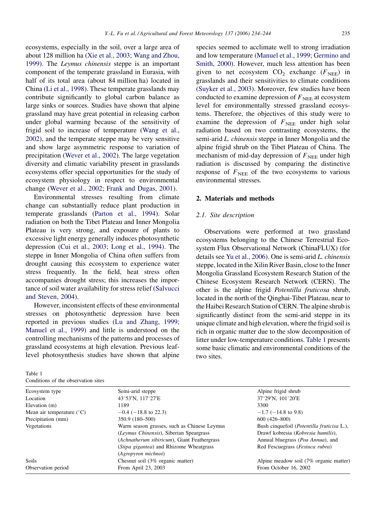<span id="page-1-0"></span>ecosystems, especially in the soil, over a large area of about 128 million ha ([Xie et al., 2003; Wang and Zhou,](#page-10-0) [1999\)](#page-10-0). The Leymus chinensis steppe is an important component of the temperate grassland in Eurasia, with half of its total area (about 84 million ha) located in China [\(Li et al., 1998](#page-9-0)). These temperate grasslands may contribute significantly to global carbon balance as large sinks or sources. Studies have shown that alpine grassland may have great potential in releasing carbon under global warming because of the sensitivity of frigid soil to increase of temperature ([Wang et al.,](#page-10-0) [2002\)](#page-10-0), and the temperate steppe may be very sensitive and show large asymmetric response to variation of precipitation ([Wever et al., 2002](#page-10-0)). The large vegetation diversity and climatic variability present in grasslands ecosystems offer special opportunities for the study of ecosystem physiology in respect to environmental change ([Wever et al., 2002](#page-10-0); [Frank and Dugas, 2001\)](#page-9-0).

Environmental stresses resulting from climate change can substantially reduce plant production in temperate grasslands [\(Parton et al., 1994\)](#page-10-0). Solar radiation on both the Tibet Plateau and Inner Mongolia Plateau is very strong, and exposure of plants to excessive light energy generally induces photosynthetic depression ([Cui et al., 2003; Long et al., 1994\)](#page-9-0). The steppe in Inner Mongolia of China often suffers from drought causing this ecosystem to experience water stress frequently. In the field, heat stress often accompanies drought stress; this increases the importance of soil water availability for stress relief [\(Salvucci](#page-10-0) [and Steven, 2004](#page-10-0)).

However, inconsistent effects of these environmental stresses on photosynthetic depression have been reported in previous studies [\(Lu and Zhang, 1999;](#page-9-0) [Manuel et al., 1999\)](#page-9-0) and little is understood on the controlling mechanisms of the patterns and processes of grassland ecosystems at high elevation. Previous leaflevel photosynthesis studies have shown that alpine

| Table 1 |  |                                     |  |
|---------|--|-------------------------------------|--|
|         |  | Conditions of the observation sites |  |

species seemed to acclimate well to strong irradiation and low temperature [\(Manuel et al., 1999; Germino and](#page-9-0) [Smith, 2000](#page-9-0)). However, much less attention has been given to net ecosystem  $CO_2$  exchange ( $F_{NEE}$ ) in grasslands and their sensitivities to climate conditions [\(Suyker et al., 2003\)](#page-10-0). Moreover, few studies have been conducted to examine depression of  $F_{\text{NEE}}$  at ecosystem level for environmentally stressed grassland ecosystems. Therefore, the objectives of this study were to examine the depression of  $F_{\text{NEE}}$  under high solar radiation based on two contrasting ecosystems, the semi-arid *L. chinensis* steppe in Inner Mongolia and the alpine frigid shrub on the Tibet Plateau of China. The mechanism of mid-day depression of  $F_{\text{NEE}}$  under high radiation is discussed by comparing the distinctive response of  $F<sub>NEE</sub>$  of the two ecosystems to various environmental stresses.

### 2. Materials and methods

#### 2.1. Site description

Observations were performed at two grassland ecosystems belonging to the Chinese Terrestrial Ecosystem Flux Observational Network (ChinaFLUX) (for details see [Yu et al., 2006](#page-10-0)). One is semi-arid L. chinensis steppe, located in the Xilin River Basin, close to the Inner Mongolia Grassland Ecosystem Research Station of the Chinese Ecosystem Research Network (CERN). The other is the alpine frigid Potentilla fruticosa shrub, located in the north of the Qinghai-Tibet Plateau, near to the Haibei Research Station of CERN. The alpine shrub is significantly distinct from the semi-arid steppe in its unique climate and high elevation, where the frigid soil is rich in organic matter due to the slow decomposition of litter under low-temperature conditions. Table 1 presents some basic climatic and environmental conditions of the two sites.

| Alpine frigid shrub<br>37°29′N, 101°20′E           |
|----------------------------------------------------|
|                                                    |
|                                                    |
| 3300                                               |
| $-1.7$ ( $-14.8$ to 9.8)                           |
| $600(426 - 800)$                                   |
| Bush cinquefoil ( <i>Potentilla fruticisa</i> L.), |
| Drawf kobresia (Kobresia humilis),                 |
| Annual bluegrass ( <i>Poa Annua</i> ), and         |
| Red Fescuegrass ( <i>Festuca rubra</i> )           |
|                                                    |
| Alpine meadow soil (7% organic matter)             |
| From October 16, 2002                              |
|                                                    |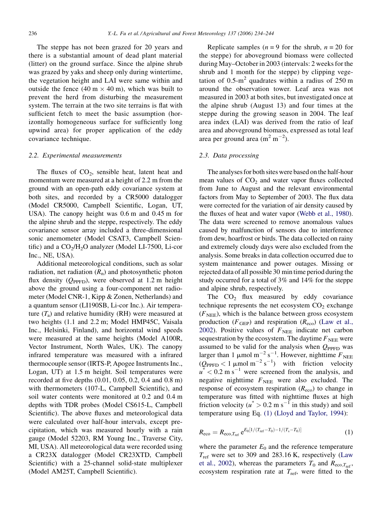<span id="page-2-0"></span>The steppe has not been grazed for 20 years and there is a substantial amount of dead plant material (litter) on the ground surface. Since the alpine shrub was grazed by yaks and sheep only during wintertime, the vegetation height and LAI were same within and outside the fence  $(40 \text{ m} \times 40 \text{ m})$ , which was built to prevent the herd from disturbing the measurement system. The terrain at the two site terrains is flat with sufficient fetch to meet the basic assumption (horizontally homogeneous surface for sufficiently long upwind area) for proper application of the eddy covariance technique.

#### 2.2. Experimental measurements

The fluxes of  $CO<sub>2</sub>$ , sensible heat, latent heat and momentum were measured at a height of 2.2 m from the ground with an open-path eddy covariance system at both sites, and recorded by a CR5000 datalogger (Model CR5000, Campbell Scientific, Logan, UT, USA). The canopy height was 0.6 m and 0.45 m for the alpine shrub and the steppe, respectively. The eddy covariance sensor array included a three-dimensional sonic anemometer (Model CSAT3, Campbell Scientific) and a  $CO<sub>2</sub>/H<sub>2</sub>O$  analyzer (Model LI-7500, Li-cor Inc., NE, USA).

Additional meteorological conditions, such as solar radiation, net radiation  $(R_n)$  and photosynthetic photon flux density ( $Q_{\text{PPFD}}$ ), were observed at 1.2 m height above the ground using a four-component net radiometer (Model CNR-1, Kipp & Zonen, Netherlands) and a quantum sensor (LI190SB, Li-cor Inc.). Air temperature  $(T_a)$  and relative humidity (RH) were measured at two heights (1.1 and 2.2 m; Model HMP45C, Vaisala Inc., Helsinki, Finland), and horizontal wind speeds were measured at the same heights (Model A100R, Vector Instrument, North Wales, UK). The canopy infrared temperature was measured with a infrared thermocouple sensor (IRTS-P, Apogee Instruments Inc., Logan, UT) at 1.5 m height. Soil temperatures were recorded at five depths (0.01, 0.05, 0.2, 0.4 and 0.8 m) with thermometers (107-L, Campbell Scientific), and soil water contents were monitored at 0.2 and 0.4 m depths with TDR probes (Model CS615-L, Campbell Scientific). The above fluxes and meteorological data were calculated over half-hour intervals, except precipitation, which was measured hourly with a rain gauge (Model 52203, RM Young Inc., Traverse City, MI, USA). All meteorological data were recorded using a CR23X datalogger (Model CR23XTD, Campbell Scientific) with a 25-channel solid-state multiplexer (Model AM25T, Campbell Scientific).

Replicate samples ( $n = 9$  for the shrub,  $n = 20$  for the steppe) for aboveground biomass were collected during May–October in 2003 (intervals: 2 weeks for the shrub and 1 month for the steppe) by clipping vegetation of  $0.5 \text{ m}^2$  quadrates within a radius of 250 m around the observation tower. Leaf area was not measured in 2003 at both sites, but investigated once at the alpine shrub (August 13) and four times at the steppe during the growing season in 2004. The leaf area index (LAI) was derived from the ratio of leaf area and aboveground biomass, expressed as total leaf area per ground area  $(m^2 m^{-2})$ .

## 2.3. Data processing

The analyses for both sites were based on the half-hour mean values of  $CO<sub>2</sub>$  and water vapor fluxes collected from June to August and the relevant environmental factors from May to September of 2003. The flux data were corrected for the variation of air density caused by the fluxes of heat and water vapor [\(Webb et al., 1980\)](#page-10-0). The data were screened to remove anomalous values caused by malfunction of sensors due to interference from dew, hoarfrost or birds. The data collected on rainy and extremely cloudy days were also excluded from the analysis. Some breaks in data collection occurred due to system maintenance and power outages. Missing or rejected data of all possible 30 min time period during the study occurred for a total of 3% and 14% for the steppe and alpine shrub, respectively.

The  $CO<sub>2</sub>$  flux measured by eddy covariance technique represents the net ecosystem  $CO<sub>2</sub>$  exchange  $(F<sub>NEE</sub>)$ , which is the balance between gross ecosystem production ( $F_{\text{GEP}}$ ) and respiration ( $R_{\text{eco}}$ ) ([Law et al.,](#page-9-0) [2002](#page-9-0)). Positive values of  $F_{\text{NEE}}$  indicate net carbon sequestration by the ecosystem. The daytime  $F_{\text{NEE}}$  were assumed to be valid for the analysis when  $Q_{\text{PPFD}}$  was larger than 1  $\mu$ mol m<sup>-2</sup> s<sup>-1</sup>. However, nighttime  $F_{\text{NEE}}$  $(Q_{\text{PPFD}} < 1 \text{ \mu mol m}^{-2} \text{ s}^{-1})$  with friction velocity  $u^*$  < 0.2 m s<sup>-1</sup> were screened from the analysis, and negative nighttime  $F_{\text{NEE}}$  were also excluded. The response of ecosystem respiration  $(R_{\text{eco}})$  to change in temperature was fitted with nighttime fluxes at high friction velocity ( $u^* > 0.2$  m s<sup>-1</sup> in this study) and soil temperature using Eq. (1) ([Lloyd and Taylor, 1994](#page-9-0)):

$$
R_{\rm eco} = R_{\rm eco, T_{\rm ref}} e^{E_0[1/(T_{\rm ref} - T_0) - 1/(T_{\rm s} - T_0)]} \tag{1}
$$

where the parameter  $E_0$  and the reference temperature  $T_{\text{ref}}$  were set to 309 and 283.16 K, respectively ([Law](#page-9-0) [et al., 2002](#page-9-0)), whereas the parameters  $T_0$  and  $R_{\text{eco},T_{\text{ref}}},$ ecosystem respiration rate at  $T_{\text{ref}}$ , were fitted to the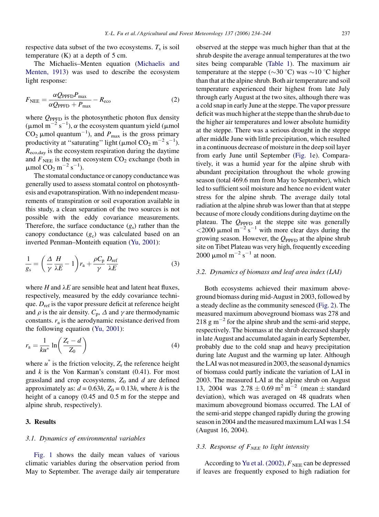<span id="page-3-0"></span>respective data subset of the two ecosystems.  $T_s$  is soil temperature  $(K)$  at a depth of 5 cm.

The Michaelis–Menten equation [\(Michaelis and](#page-9-0) [Menten, 1913](#page-9-0)) was used to describe the ecosystem light response:

$$
F_{\text{NEE}} = \frac{\alpha Q_{\text{PPFD}} P_{\text{max}}}{\alpha Q_{\text{PPFD}} + P_{\text{max}}} - R_{\text{eco}}
$$
 (2)

where  $Q_{\text{PPFD}}$  is the photosynthetic photon flux density ( $\mu$ mol m<sup>-2</sup> s<sup>-1</sup>),  $\alpha$  the ecosystem quantum yield ( $\mu$ mol CO<sub>2</sub>  $\mu$ mol quantum<sup>-1</sup>), and  $P_{\text{max}}$  is the gross primary productivity at "saturating" light ( $\mu$ mol CO<sub>2</sub> m<sup>-2</sup> s<sup>-1</sup>).  $R_{\text{eco,day}}$  is the ecosystem respiration during the daytime and  $F_{\text{NEE}}$  is the net ecosystem  $CO_2$  exchange (both in  $\mu$ mol CO<sub>2</sub> m<sup>-2</sup> s<sup>-1</sup>).

The stomatal conductance or canopy conductance was generally used to assess stomatal control on photosynthesis and evapotranspiration. With no independent measurements of transpiration or soil evaporation available in this study, a clean separation of the two sources is not possible with the eddy covariance measurements. Therefore, the surface conductance  $(g_s)$  rather than the canopy conductance  $(g_c)$  was calculated based on an inverted Penman–Monteith equation [\(Yu, 2001](#page-10-0)):

$$
\frac{1}{g_s} = \left(\frac{\Delta}{\gamma} \frac{H}{\lambda E} - 1\right) r_a + \frac{\rho C_p}{\gamma} \frac{D_{\text{ref}}}{\lambda E}
$$
(3)

where H and  $\lambda E$  are sensible heat and latent heat fluxes, respectively, measured by the eddy covariance technique.  $D_{ref}$  is the vapor pressure deficit at reference height and  $\rho$  is the air density.  $C_p$ ,  $\Delta$  and  $\gamma$  are thermodynamic constants.  $r_a$  is the aerodynamic resistance derived from the following equation ([Yu, 2001\)](#page-10-0):

$$
r_{\rm a} = \frac{1}{ku^*} \ln\left(\frac{Z_{\rm r} - d}{Z_0}\right) \tag{4}
$$

where  $u^*$  is the friction velocity,  $Z_r$  the reference height and  $k$  is the Von Karman's constant  $(0.41)$ . For most grassland and crop ecosystems,  $Z_0$  and d are defined approximately as:  $d = 0.63h$ ,  $Z_0 = 0.13h$ , where h is the height of a canopy (0.45 and 0.5 m for the steppe and alpine shrub, respectively).

#### 3. Results

#### 3.1. Dynamics of environmental variables

[Fig. 1](#page-4-0) shows the daily mean values of various climatic variables during the observation period from May to September. The average daily air temperature observed at the steppe was much higher than that at the shrub despite the average annual temperatures at the two sites being comparable [\(Table 1\)](#page-1-0). The maximum air temperature at the steppe ( $\sim$ 30 °C) was  $\sim$ 10 °C higher than that at the alpine shrub. Both air temperature and soil temperature experienced their highest from late July through early August at the two sites, although there was a cold snap in early June at the steppe. The vapor pressure deficit was much higher at the steppe than the shrub due to the higher air temperatures and lower absolute humidity at the steppe. There was a serious drought in the steppe after middle June with little precipitation, which resulted in a continuous decrease of moisture in the deep soil layer from early June until September [\(Fig. 1](#page-4-0)e). Comparatively, it was a humid year for the alpine shrub with abundant precipitation throughout the whole growing season (total 469.6 mm from May to September), which led to sufficient soil moisture and hence no evident water stress for the alpine shrub. The average daily total radiation at the alpine shrub was lower than that at steppe because of more cloudy conditions during daytime on the plateau. The  $Q_{\text{PPFD}}$  at the steppe site was generally  $<$  2000 µmol m<sup>-2</sup> s<sup>-1</sup> with more clear days during the growing season. However, the  $Q_{\text{PPFD}}$  at the alpine shrub site on Tibet Plateau was very high, frequently exceeding 2000  $\mu$ mol m<sup>-2</sup> s<sup>-1</sup> at noon.

# 3.2. Dynamics of biomass and leaf area index (LAI)

Both ecosystems achieved their maximum aboveground biomass during mid-August in 2003, followed by a steady decline as the community senesced ([Fig. 2\)](#page-4-0). The measured maximum aboveground biomass was 278 and 218 g m<sup> $-2$ </sup> for the alpine shrub and the semi-arid steppe, respectively. The biomass at the shrub decreased sharply in late August and accumulated again in early September, probably due to the cold snap and heavy precipitation during late August and the warming up later. Although the LAI was not measured in 2003, the seasonal dynamics of biomass could partly indicate the variation of LAI in 2003. The measured LAI at the alpine shrub on August 13, 2004 was  $2.78 \pm 0.69$  m<sup>2</sup> m<sup>-2</sup> (mean  $\pm$  standard deviation), which was averaged on 48 quadrats when maximum aboveground biomass occurred. The LAI of the semi-arid steppe changed rapidly during the growing season in 2004 and the measured maximum LAI was 1.54 (August 16, 2004).

## 3.3. Response of  $F_{NEE}$  to light intensity

According to [Yu et al. \(2002\)](#page-10-0),  $F_{NEE}$  can be depressed if leaves are frequently exposed to high radiation for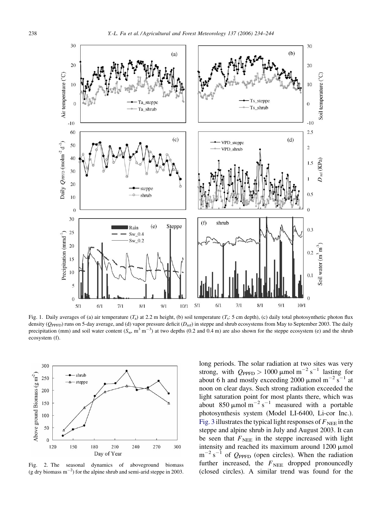<span id="page-4-0"></span>

Fig. 1. Daily averages of (a) air temperature  $(T_a)$  at 2.2 m height, (b) soil temperature  $(T_s: 5 \text{ cm depth})$ , (c) daily total photosynthetic photon flux density ( $Q_{\text{PPFD}}$ ) runs on 5-day average, and (d) vapor pressure deficit ( $D_{\text{ref}}$ ) in steppe and shrub ecosystems from May to September 2003. The daily precipitation (mm) and soil water content  $(S_w, m^3 m^{-3})$  at two depths (0.2 and 0.4 m) are also shown for the steppe ecosystem (e) and the shrub ecosystem (f).



Fig. 2. The seasonal dynamics of aboveground biomass (g dry biomass  $m^{-2}$ ) for the alpine shrub and semi-arid steppe in 2003.

long periods. The solar radiation at two sites was very strong, with  $Q_{\text{PPFD}} > 1000 \mu \text{mol m}^{-2} \text{ s}^{-1}$  lasting for about 6 h and mostly exceeding 2000  $\mu$ mol m<sup>-2</sup> s<sup>-1</sup> at noon on clear days. Such strong radiation exceeded the light saturation point for most plants there, which was about 850  $\mu$ mol m<sup>-2</sup> s<sup>-1</sup> measured with a portable photosynthesis system (Model LI-6400, Li-cor Inc.). [Fig. 3](#page-5-0) illustrates the typical light responses of  $F_{\text{NEE}}$  in the steppe and alpine shrub in July and August 2003. It can be seen that  $F_{\text{NEE}}$  in the steppe increased with light intensity and reached its maximum around  $1200 \mu$ mol  $m^{-2}$  s<sup>-1</sup> of  $Q_{\text{PPFD}}$  (open circles). When the radiation further increased, the  $F<sub>NEE</sub>$  dropped pronouncedly (closed circles). A similar trend was found for the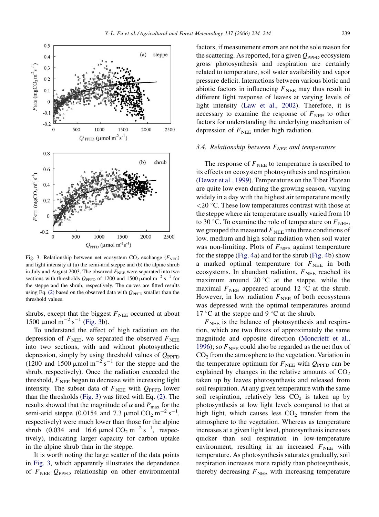<span id="page-5-0"></span>

Fig. 3. Relationship between net ecosystem  $CO_2$  exchange ( $F_{NEE}$ ) and light intensity at (a) the semi-arid steppe and (b) the alpine shrub in July and August 2003. The observed  $F_{\text{NEE}}$  were separated into two sections with thresholds  $Q_{\text{PPFD}}$  of 1200 and 1500  $\mu$ mol m<sup>-2</sup> s<sup>-1</sup> for the steppe and the shrub, respectively. The curves are fitted results using Eq. [\(2\)](#page-3-0) based on the observed data with  $Q_{\text{PPFD}}$  smaller than the threshold values.

shrubs, except that the biggest  $F_{\text{NEE}}$  occurred at about 1500  $\mu$ mol m<sup>-2</sup> s<sup>-1</sup> (Fig. 3b).

To understand the effect of high radiation on the depression of  $F<sub>NEE</sub>$ , we separated the observed  $F<sub>NEE</sub>$ into two sections, with and without photosynthetic depression, simply by using threshold values of  $Q_{\text{PPFD}}$ (1200 and 1500  $\mu$ mol m<sup>-2</sup> s<sup>-1</sup> for the steppe and the shrub, respectively). Once the radiation exceeded the threshold,  $F<sub>NEE</sub>$  began to decrease with increasing light intensity. The subset data of  $F_{\text{NEE}}$  with  $Q_{\text{PPFD}}$  lower than the thresholds (Fig. 3) was fitted with Eq. [\(2\)](#page-3-0). The results showed that the magnitude of  $\alpha$  and  $P_{\text{max}}$  for the semi-arid steppe (0.0154 and 7.3  $\mu$ mol CO<sub>2</sub> m<sup>-2</sup> s<sup>-1</sup>, respectively) were much lower than those for the alpine shrub (0.034 and 16.6  $\mu$ mol CO<sub>2</sub> m<sup>-2</sup> s<sup>-1</sup>, respectively), indicating larger capacity for carbon uptake in the alpine shrub than in the steppe.

It is worth noting the large scatter of the data points in Fig. 3, which apparently illustrates the dependence of  $F<sub>NEE</sub>$ - $Q<sub>PPFD</sub>$  relationship on other environmental factors, if measurement errors are not the sole reason for the scattering. As reported, for a given  $Q_{\text{PPFD}}$  ecosystem gross photosynthesis and respiration are certainly related to temperature, soil water availability and vapor pressure deficit. Interactions between various biotic and abiotic factors in influencing  $F_{\text{NEE}}$  may thus result in different light response of leaves at varying levels of light intensity [\(Law et al., 2002](#page-9-0)). Therefore, it is necessary to examine the response of  $F_{\text{NEE}}$  to other factors for understanding the underlying mechanism of depression of  $F_{\text{NEE}}$  under high radiation.

# 3.4. Relationship between  $F_{NEE}$  and temperature

The response of  $F_{\text{NEE}}$  to temperature is ascribed to its effects on ecosystem photosynthesis and respiration [\(Dewar et al., 1999](#page-9-0)). Temperatures on the Tibet Plateau are quite low even during the growing season, varying widely in a day with the highest air temperature mostly  $<$  20 °C. These low temperatures contrast with those at the steppe where air temperature usually varied from 10 to 30 °C. To examine the role of temperature on  $F_{\text{NEE}}$ , we grouped the measured  $F_{\text{NEE}}$  into three conditions of low, medium and high solar radiation when soil water was non-limiting. Plots of  $F_{\text{NEE}}$  against temperature for the steppe ([Fig. 4](#page-6-0)a) and for the shrub [\(Fig. 4b](#page-6-0)) show a marked optimal temperature for  $F_{\text{NEE}}$  in both ecosystems. In abundant radiation,  $F_{NEE}$  reached its maximum around  $20^{\circ}$ C at the steppe, while the maximal  $F_{\text{NEE}}$  appeared around 12 °C at the shrub. However, in low radiation  $F_{\text{NEE}}$  of both ecosystems was depressed with the optimal temperatures around 17 °C at the steppe and 9 °C at the shrub.

 $F<sub>NEE</sub>$  is the balance of photosynthesis and respiration, which are two fluxes of approximately the same magnitude and opposite direction ([Moncrieff et al.,](#page-9-0) [1996\)](#page-9-0); so  $F<sub>NEE</sub>$  could also be regarded as the net flux of  $CO<sub>2</sub>$  from the atmosphere to the vegetation. Variation in the temperature optimum for  $F_{\text{NEE}}$  with  $Q_{\text{PPFD}}$  can be explained by changes in the relative amounts of  $CO<sub>2</sub>$ taken up by leaves photosynthesis and released from soil respiration. At any given temperature with the same soil respiration, relatively less  $CO<sub>2</sub>$  is taken up by photosynthesis at low light levels compared to that at high light, which causes less  $CO<sub>2</sub>$  transfer from the atmosphere to the vegetation. Whereas as temperature increases at a given light level, photosynthesis increases quicker than soil respiration in low-temperature environment, resulting in an increased  $F_{\text{NEE}}$  with temperature. As photosynthesis saturates gradually, soil respiration increases more rapidly than photosynthesis, thereby decreasing  $F_{\text{NEE}}$  with increasing temperature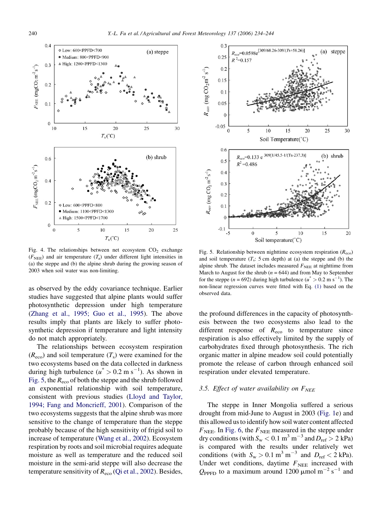<span id="page-6-0"></span>

Fig. 4. The relationships between net ecosystem  $CO<sub>2</sub>$  exchange  $(F<sub>NEF</sub>)$  and air temperature  $(T<sub>a</sub>)$  under different light intensities in (a) the steppe and (b) the alpine shrub during the growing season of 2003 when soil water was non-limiting.

as observed by the eddy covariance technique. Earlier studies have suggested that alpine plants would suffer photosynthetic depression under high temperature [\(Zhang et al., 1995; Guo et al., 1995](#page-10-0)). The above results imply that plants are likely to suffer photosynthetic depression if temperature and light intensity do not match appropriately.

The relationships between ecosystem respiration  $(R_{\text{eco}})$  and soil temperature  $(T_s)$  were examined for the two ecosystems based on the data collected in darkness during high turbulence  $(u^* > 0.2 \text{ m s}^{-1})$ . As shown in Fig. 5, the  $R_{\text{eco}}$  of both the steppe and the shrub followed an exponential relationship with soil temperature, consistent with previous studies [\(Lloyd and Taylor,](#page-9-0) [1994; Fang and Moncrieff, 2001\)](#page-9-0). Comparison of the two ecosystems suggests that the alpine shrub was more sensitive to the change of temperature than the steppe probably because of the high sensitivity of frigid soil to increase of temperature ([Wang et al., 2002\)](#page-10-0). Ecosystem respiration by roots and soil microbial requires adequate moisture as well as temperature and the reduced soil moisture in the semi-arid steppe will also decrease the temperature sensitivity of  $R_{\text{eco}}$  ([Qi et al., 2002\)](#page-10-0). Besides,



Fig. 5. Relationship between nighttime ecosystem respiration  $(R_{\text{eco}})$ and soil temperature  $(T_s: 5 \text{ cm depth})$  at (a) the steppe and (b) the alpine shrub. The dataset includes measured  $F_{\text{NEE}}$  at nighttime from March to August for the shrub ( $n = 644$ ) and from May to September for the steppe ( $n = 692$ ) during high turbulence ( $u^* > 0.2$  m s<sup>-1</sup>). The non-linear regression curves were fitted with Eq. [\(1\)](#page-2-0) based on the observed data.

the profound differences in the capacity of photosynthesis between the two ecosystems also lead to the different response of  $R_{\text{eco}}$  to temperature since respiration is also effectively limited by the supply of carbohydrates fixed through photosynthesis. The rich organic matter in alpine meadow soil could potentially promote the release of carbon through enhanced soil respiration under elevated temperature.

# 3.5. Effect of water availability on  $F_{NEE}$

The steppe in Inner Mongolia suffered a serious drought from mid-June to August in 2003 [\(Fig. 1e](#page-4-0)) and this allowed us to identify how soil water content affected  $F_{\text{NEE}}$ . In [Fig. 6,](#page-7-0) the  $F_{\text{NEE}}$  measured in the steppe under dry conditions (with  $S_w < 0.1$  m<sup>3</sup> m<sup>-3</sup> and  $D_{ref} > 2$  kPa) is compared with the results under relatively wet conditions (with  $S_w > 0.1 \text{ m}^3 \text{ m}^{-3}$  and  $D_{\text{ref}} < 2 \text{ kPa}$ ). Under wet conditions, daytime  $F_{\text{NEE}}$  increased with  $Q_{\text{PPFD}}$  to a maximum around 1200  $\mu$ mol m<sup>-2</sup> s<sup>-1</sup> and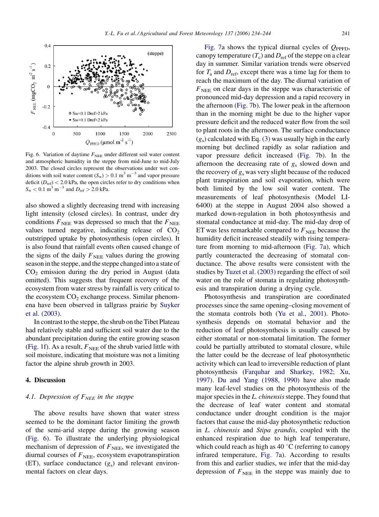<span id="page-7-0"></span>

Fig. 6. Variation of daytime  $F_{\text{NEE}}$  under different soil water content and atmospheric humidity in the steppe from mid-June to mid-July 2003. The closed circles represent the observations under wet conditions with soil water content  $(S_w) > 0.1 \text{ m}^3 \text{ m}^{-3}$  and vapor pressure deficit  $(D_{ref}) < 2.0$  kPa, the open circles refer to dry conditions when  $S_{\rm w}$  < 0.1 m<sup>3</sup> m<sup>-3</sup> and  $D_{\rm ref}$  > 2.0 kPa.

also showed a slightly decreasing trend with increasing light intensity (closed circles). In contrast, under dry conditions  $F_{\text{NEE}}$  was depressed so much that the  $F_{\text{NEE}}$ values turned negative, indicating release of  $CO<sub>2</sub>$ outstripped uptake by photosynthesis (open circles). It is also found that rainfall events often caused change of the signs of the daily  $F_{\text{NEE}}$  values during the growing seasonin the steppe, and the steppe changed into a state of  $CO<sub>2</sub>$  emission during the dry period in August (data omitted). This suggests that frequent recovery of the ecosystem from water stress by rainfall is very critical to the ecosystem  $CO<sub>2</sub>$  exchange process. Similar phenomena have been observed in tallgrass prairie by [Suyker](#page-10-0) [et al. \(2003\).](#page-10-0)

In contrast to the steppe, the shrub on the Tibet Plateau had relatively stable and sufficient soil water due to the abundant precipitation during the entire growing season [\(Fig. 1f](#page-4-0)). As a result,  $F_{NEE}$  of the shrub varied little with soil moisture, indicating that moisture was not a limiting factor the alpine shrub growth in 2003.

# 4. Discussion

# 4.1. Depression of  $F_{NEE}$  in the steppe

The above results have shown that water stress seemed to be the dominant factor limiting the growth of the semi-arid steppe during the growing season (Fig. 6). To illustrate the underlying physiological mechanism of depression of  $F<sub>NEE</sub>$ , we investigated the diurnal courses of  $F<sub>NEE</sub>$ , ecosystem evapotranspiration (ET), surface conductance  $(g_s)$  and relevant environmental factors on clear days.

[Fig. 7a](#page-8-0) shows the typical diurnal cycles of  $Q_{\text{PPFD}}$ , canopy temperature  $(T_c)$  and  $D_{ref}$  of the steppe on a clear day in summer. Similar variation trends were observed for  $T_a$  and  $D_{\text{ref}}$ , except there was a time lag for them to reach the maximum of the day. The diurnal variation of  $F<sub>NEF</sub>$  on clear days in the steppe was characteristic of pronounced mid-day depression and a rapid recovery in the afternoon [\(Fig. 7](#page-8-0)b). The lower peak in the afternoon than in the morning might be due to the higher vapor pressure deficit and the reduced water flow from the soil to plant roots in the afternoon. The surface conductance  $(g<sub>s</sub>)$  calculated with Eq. [\(3\)](#page-3-0) was usually high in the early morning but declined rapidly as solar radiation and vapor pressure deficit increased ([Fig. 7](#page-8-0)b). In the afternoon the decreasing rate of  $g_s$  slowed down and the recovery of  $g_s$  was very slight because of the reduced plant transpiration and soil evaporation, which were both limited by the low soil water content. The measurements of leaf photosynthesis (Model LI-6400) at the steppe in August 2004 also showed a marked down-regulation in both photosynthesis and stomatal conductance at mid-day. The mid-day drop of ET was less remarkable compared to  $F<sub>NEE</sub>$  because the humidity deficit increased steadily with rising temperature from morning to mid-afternoon [\(Fig. 7](#page-8-0)a), which partly counteracted the decreasing of stomatal conductance. The above results were consistent with the studies by [Tuzet et al. \(2003\)](#page-10-0) regarding the effect of soil water on the role of stomata in regulating photosynthesis and transpiration during a drying cycle.

Photosynthesis and transpiration are coordinated processes since the same opening–closing movement of the stomata controls both [\(Yu et al., 2001\)](#page-10-0). Photosynthesis depends on stomatal behavior and the reduction of leaf photosynthesis is usually caused by either stomatal or non-stomatal limitation. The former could be partially attributed to stomatal closure, while the latter could be the decrease of leaf photosynthetic activity which can lead to irreversible reduction of plant photosynthesis ([Farquhar and Sharkey, 1982; Xu,](#page-9-0) [1997\)](#page-9-0). [Du and Yang \(1988, 1990\)](#page-9-0) have also made many leaf-level studies on the photosynthesis of the major species in the  $L.$  chinensis steppe. They found that the decrease of leaf water content and stomatal conductance under drought condition is the major factors that cause the mid-day photosynthetic reduction in L. chinensis and Stipa grandis, coupled with the enhanced respiration due to high leaf temperature, which could reach as high as  $40^{\circ}$ C (referring to canopy infrared temperature, [Fig. 7a](#page-8-0)). According to results from this and earlier studies, we infer that the mid-day depression of  $F<sub>NEE</sub>$  in the steppe was mainly due to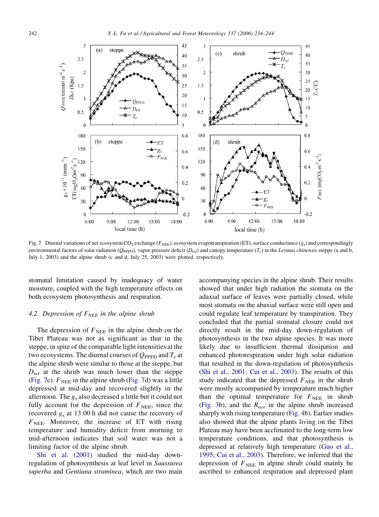<span id="page-8-0"></span>

Fig. 7. Diurnal variations of net ecosystem CO<sub>2</sub> exchange ( $F_{NEE}$ ), ecosystem evapotranspiration (ET), surface conductance (g<sub>s</sub>) and correspondingly environmental factors of solar radiation ( $Q_{\text{PPFD}}$ ), vapor pressure deficit ( $D_{\text{ref}}$ ) and canopy temperature ( $T_c$ ) in the *Leymus chinensis* steppe (a and b, July 1, 2003) and the alpine shrub (c and d, July 25, 2003) were plotted, respectively.

stomatal limitation caused by inadequacy of water moisture, coupled with the high temperature effects on both ecosystem photosynthesis and respiration.

#### 4.2. Depression of  $F_{NEE}$  in the alpine shrub

The depression of  $F_{\text{NEE}}$  in the alpine shrub on the Tibet Plateau was not as significant as that in the steppe, in spite of the comparable light intensities at the two ecosystems. The diurnal courses of  $Q_{\text{PPFD}}$  and  $T_c$  at the alpine shrub were similar to those at the steppe, but  $D_{\text{ref}}$  at the shrub was much lower than the steppe (Fig. 7c).  $F_{\text{NEE}}$  in the alpine shrub (Fig. 7d) was a little depressed at mid-day and recovered slightly in the afternoon. The  $g_s$  also decreased a little but it could not fully account for the depression of  $F<sub>NEE</sub>$ , since the recovered  $g_s$  at 13:00 h did not cause the recovery of  $F<sub>NEE</sub>$ . Moreover, the increase of ET with rising temperature and humidity deficit from morning to mid-afternoon indicates that soil water was not a limiting factor of the alpine shrub.

[Shi et al. \(2001\)](#page-10-0) studied the mid-day downregulation of photosynthesis at leaf level in Saussurea superba and Gentiana straminea, which are two main accompanying species in the alpine shrub. Their results showed that under high radiation the stomata on the adaxial surface of leaves were partially closed, while most stomata on the abaxial surface were still open and could regulate leaf temperature by transpiration. They concluded that the partial stomatal closure could not directly result in the mid-day down-regulation of photosynthesis in the two alpine species. It was more likely due to insufficient thermal dissipation and enhanced photorespiration under high solar radiation that resulted in the down-regulation of photosynthesis ([Shi et al., 2001; Cui et al., 2003](#page-10-0)). The results of this study indicated that the depressed  $F_{\text{NEF}}$  in the shrub were mostly accompanied by temperature much higher than the optimal temperature for  $F_{\text{NEE}}$  in shrub ([Fig. 3b](#page-5-0)), and the  $R_{\text{eco}}$  in the alpine shrub increased sharply with rising temperature ([Fig. 4b](#page-6-0)). Earlier studies also showed that the alpine plants living on the Tibet Plateau may have been acclimated to the long-term low temperature conditions, and that photosynthesis is depressed at relatively high temperature ([Guo et al.,](#page-9-0) [1995; Cui et al., 2003](#page-9-0)). Therefore, we inferred that the depression of  $F_{\text{NEE}}$  in alpine shrub could mainly be ascribed to enhanced respiration and depressed plant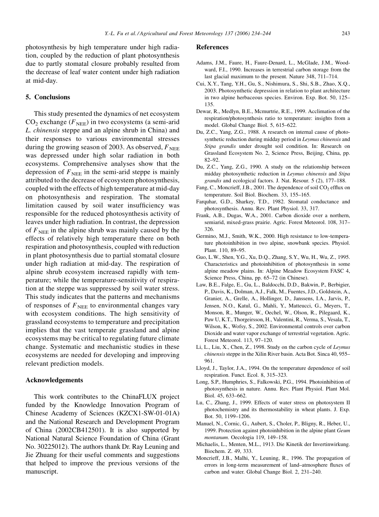<span id="page-9-0"></span>tion, coupled by the reduction of plant photosynthesis due to partly stomatal closure probably resulted from the decrease of leaf water content under high radiation at mid-day.

# 5. Conclusions

This study presented the dynamics of net ecosystem  $CO<sub>2</sub>$  exchange ( $F<sub>NEE</sub>$ ) in two ecosystems (a semi-arid L. chinensis steppe and an alpine shrub in China) and their responses to various environmental stresses during the growing season of 2003. As observed,  $F_{\text{NEE}}$ was depressed under high solar radiation in both ecosystems. Comprehensive analyses show that the depression of  $F<sub>NEE</sub>$  in the semi-arid steppe is mainly attributed to the decrease of ecosystem photosynthesis, coupled with the effects of high temperature at mid-day on photosynthesis and respiration. The stomatal limitation caused by soil water insufficiency was responsible for the reduced photosynthesis activity of leaves under high radiation. In contrast, the depression of  $F_{\text{NEE}}$  in the alpine shrub was mainly caused by the effects of relatively high temperature there on both respiration and photosynthesis, coupled with reduction in plant photosynthesis due to partial stomatal closure under high radiation at mid-day. The respiration of alpine shrub ecosystem increased rapidly with temperature; while the temperature-sensitivity of respiration at the steppe was suppressed by soil water stress. This study indicates that the patterns and mechanisms of responses of  $F<sub>NEE</sub>$  to environmental changes vary with ecosystem conditions. The high sensitivity of grassland ecosystems to temperature and precipitation implies that the vast temperate grassland and alpine ecosystems may be critical to regulating future climate change. Systematic and mechanistic studies in these ecosystems are needed for developing and improving relevant prediction models.

#### Acknowledgements

This work contributes to the ChinaFLUX project funded by the Knowledge Innovation Program of Chinese Academy of Sciences (KZCX1-SW-01-01A) and the National Research and Development Program of China (2002CB412501). It is also supported by National Natural Science Foundation of China (Grant No. 30225012). The authors thank Dr. Ray Leuning and Jie Zhuang for their useful comments and suggestions that helped to improve the previous versions of the manuscript.

#### References

- Adams, J.M., Faure, H., Faure-Denard, L., McGlade, J.M., Woodward, F.I., 1990. Increases in terrestrial carbon storage from the last glacial maximum to the present. Nature 348, 711–714.
- Cui, X.Y., Tang, Y.H., Gu, S., Nishimura, S., Shi, S.B., Zhao, X.Q., 2003. Photosynthetic depression in relation to plant architecture in two alpine herbaceous species. Environ. Exp. Bot. 50, 125– 135.
- Dewar, R., Medlyn, B.E., Mcmurtrie, R.E., 1999. Acclimation of the respiration/photosynthesis ratio to temperature: insights from a model. Global Change Biol. 5, 615–622.
- Du, Z.C., Yang, Z.G., 1988. A research on internal cause of photosynthetic reduction during midday period in Leymus chinensis and Stipa grandis under drought soil condition. In: Research on Grassland Ecosystem No. 2, Science Press, Beijing, China, pp. 82–92.
- Du, Z.C., Yang, Z.G., 1990. A study on the relationship between midday photosynthetic reduction in Leymus chinensis and Stipa grandis and ecological factors. J. Nat. Resour. 5 (2), 177–188.
- Fang, C., Moncrieff, J.B., 2001. The dependence of soil  $CO<sub>2</sub>$  efflux on temperature. Soil Biol. Biochem. 33, 155–165.
- Farquhar, G.D., Sharkey, T.D., 1982. Stomatal conductance and photosynthesis. Annu. Rev. Plant Physiol. 33, 317.
- Frank, A.B., Dugas, W.A., 2001. Carbon dioxide over a northern, semiarid, mixed-grass prairie. Agric. Forest Meteorol. 108, 317– 326.
- Germino, M.J., Smith, W.K., 2000. High resistance to low-temperature photoinhibition in two alpine, snowbank species. Physiol. Plant. 110, 89–95.
- Guo, L.W., Shen, Y.G., Xu, D.Q., Zhang, S.Y., Wu, H., Wu, Z., 1995. Characteristics and photoinhibition of photosynthesis in some alpine meadow plains. In: Alpine Meadow Ecosystem FASC 4, Science Press, China, pp. 65–72 (in Chinese).
- Law, B.E., Falge, E., Gu, L., Baldocchi, D.D., Bakwin, P., Berbigier, P., Davis, K., Dolman, A.J., Falk, M., Fuentes, J.D., Goldstein, A., Granier, A., Grelle, A., Hollinger, D., Janssens, I.A., Jarvis, P., Jensen, N.O., Katul, G., Mahli, Y., Matteucci, G., Meyers, T., Monson, R., Munger, W., Oechel, W., Olson, R., Pilegaard, K., Paw U, K.T., Thorgeirsson, H., Valentini, R., Verma, S., Vesala, T., Wilson, K., Wofsy, S., 2002. Environmental controls over carbon Dioxide and water vapor exchange of terrestrial vegetation. Agric. Forest Meteorol. 113, 97–120.
- Li, L., Liu, X., Chen, Z., 1998. Study on the carbon cycle of Leymus chinensis steppe in the Xilin River basin. Acta Bot. Sinca 40, 955– 961.
- Lloyd, J., Taylor, J.A., 1994. On the temperature dependence of soil respiration. Funct. Ecol. 8, 315–323.
- Long, S.P., Humphries, S., Falkowski, P.G., 1994. Photoinhibition of photosynthesis in nature. Annu. Rev. Plant Physiol. Plant Mol. Biol. 45, 633–662.
- Lu, C., Zhang, J., 1999. Effects of water stress on photosystem II photochemistry and its thermostability in wheat plants. J. Exp. Bot. 50, 1199–1206.
- Manuel, N., Cornic, G., Aubert, S., Choler, P., Bligny, R., Heber, U., 1999. Protection against photoinhibition in the alpine plant Geum montanum. Oecologia 119, 149–158.
- Michaelis, L., Menten, M.L., 1913. Die Kinetik der Invertinwirkung. Biochem. Z. 49, 333.
- Moncrieff, J.B., Malhi, Y., Leuning, R., 1996. The propagation of errors in long-term measurement of land–atmosphere fluxes of carbon and water. Global Change Biol. 2, 231–240.